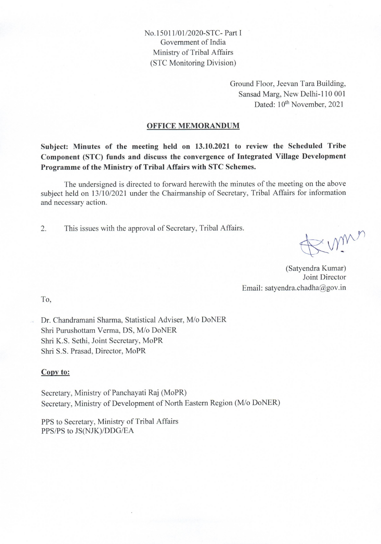No. 15011/01/2020-STC-Part I Government of India Ministry of Tribal Affairs (STC Monitoring Division)

> Ground Floor, Jeevan Tara Building, Sansad Marg, New Delhi-110 001 Dated: 10<sup>th</sup> November, 2021

#### **OFFICE MEMORANDUM**

Subject: Minutes of the meeting held on 13.10.2021 to review the Scheduled Tribe Component (STC) funds and discuss the convergence of Integrated Village Development Programme of the Ministry of Tribal Affairs with STC Schemes.

The undersigned is directed to forward herewith the minutes of the meeting on the above subject held on 13/10/2021 under the Chairmanship of Secretary, Tribal Affairs for information and necessary action.

 $\overline{2}$ . This issues with the approval of Secretary, Tribal Affairs.

= mm

(Satyendra Kumar) Joint Director Email: satyendra.chadha@gov.in

T<sub>0</sub>

Dr. Chandramani Sharma, Statistical Adviser, M/o DoNER Shri Purushottam Verma, DS, M/o DoNER Shri K.S. Sethi, Joint Secretary, MoPR Shri S.S. Prasad, Director, MoPR

#### Copy to:

Secretary, Ministry of Panchayati Raj (MoPR) Secretary, Ministry of Development of North Eastern Region (M/o DoNER)

PPS to Secretary, Ministry of Tribal Affairs PPS/PS to JS(NJK)/DDG/EA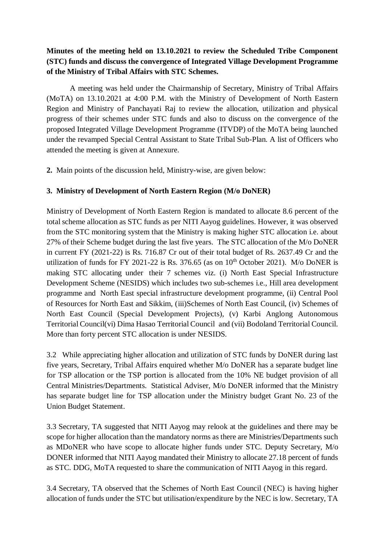## **Minutes of the meeting held on 13.10.2021 to review the Scheduled Tribe Component (STC) funds and discuss the convergence of Integrated Village Development Programme of the Ministry of Tribal Affairs with STC Schemes.**

A meeting was held under the Chairmanship of Secretary, Ministry of Tribal Affairs (MoTA) on 13.10.2021 at 4:00 P.M. with the Ministry of Development of North Eastern Region and Ministry of Panchayati Raj to review the allocation, utilization and physical progress of their schemes under STC funds and also to discuss on the convergence of the proposed Integrated Village Development Programme (ITVDP) of the MoTA being launched under the revamped Special Central Assistant to State Tribal Sub-Plan. A list of Officers who attended the meeting is given at Annexure.

**2.** Main points of the discussion held, Ministry-wise, are given below:

### **3. Ministry of Development of North Eastern Region (M/o DoNER)**

Ministry of Development of North Eastern Region is mandated to allocate 8.6 percent of the total scheme allocation as STC funds as per NITI Aayog guidelines. However, it was observed from the STC monitoring system that the Ministry is making higher STC allocation i.e. about 27% of their Scheme budget during the last five years. The STC allocation of the M/o DoNER in current FY (2021-22) is Rs. 716.87 Cr out of their total budget of Rs. 2637.49 Cr and the utilization of funds for FY 2021-22 is Rs. 376.65 (as on  $10^{th}$  October 2021). M/o DoNER is making STC allocating under their 7 schemes viz. (i) North East Special Infrastructure Development Scheme (NESIDS) which includes two sub-schemes i.e., Hill area development programme and North East special infrastructure development programme, (ii) Central Pool of Resources for North East and Sikkim, (iii)Schemes of North East Council, (iv) Schemes of North East Council (Special Development Projects), (v) Karbi Anglong Autonomous Territorial Council(vi) Dima Hasao Territorial Council and (vii) Bodoland Territorial Council. More than forty percent STC allocation is under NESIDS.

3.2 While appreciating higher allocation and utilization of STC funds by DoNER during last five years, Secretary, Tribal Affairs enquired whether M/o DoNER has a separate budget line for TSP allocation or the TSP portion is allocated from the 10% NE budget provision of all Central Ministries/Departments. Statistical Adviser, M/o DoNER informed that the Ministry has separate budget line for TSP allocation under the Ministry budget Grant No. 23 of the Union Budget Statement.

3.3 Secretary, TA suggested that NITI Aayog may relook at the guidelines and there may be scope for higher allocation than the mandatory norms as there are Ministries/Departments such as MDoNER who have scope to allocate higher funds under STC. Deputy Secretary, M/o DONER informed that NITI Aayog mandated their Ministry to allocate 27.18 percent of funds as STC. DDG, MoTA requested to share the communication of NITI Aayog in this regard.

3.4 Secretary, TA observed that the Schemes of North East Council (NEC) is having higher allocation of funds under the STC but utilisation/expenditure by the NEC is low. Secretary, TA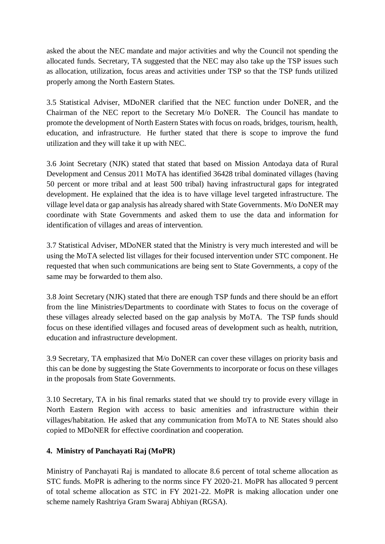asked the about the NEC mandate and major activities and why the Council not spending the allocated funds. Secretary, TA suggested that the NEC may also take up the TSP issues such as allocation, utilization, focus areas and activities under TSP so that the TSP funds utilized properly among the North Eastern States.

3.5 Statistical Adviser, MDoNER clarified that the NEC function under DoNER, and the Chairman of the NEC report to the Secretary M/o DoNER. The Council has mandate to promote the development of North Eastern States with focus on roads, bridges, tourism, health, education, and infrastructure. He further stated that there is scope to improve the fund utilization and they will take it up with NEC.

3.6 Joint Secretary (NJK) stated that stated that based on Mission Antodaya data of Rural Development and Census 2011 MoTA has identified 36428 tribal dominated villages (having 50 percent or more tribal and at least 500 tribal) having infrastructural gaps for integrated development. He explained that the idea is to have village level targeted infrastructure. The village level data or gap analysis has already shared with State Governments. M/o DoNER may coordinate with State Governments and asked them to use the data and information for identification of villages and areas of intervention.

3.7 Statistical Adviser, MDoNER stated that the Ministry is very much interested and will be using the MoTA selected list villages for their focused intervention under STC component. He requested that when such communications are being sent to State Governments, a copy of the same may be forwarded to them also.

3.8 Joint Secretary (NJK) stated that there are enough TSP funds and there should be an effort from the line Ministries/Departments to coordinate with States to focus on the coverage of these villages already selected based on the gap analysis by MoTA. The TSP funds should focus on these identified villages and focused areas of development such as health, nutrition, education and infrastructure development.

3.9 Secretary, TA emphasized that M/o DoNER can cover these villages on priority basis and this can be done by suggesting the State Governments to incorporate or focus on these villages in the proposals from State Governments.

3.10 Secretary, TA in his final remarks stated that we should try to provide every village in North Eastern Region with access to basic amenities and infrastructure within their villages/habitation. He asked that any communication from MoTA to NE States should also copied to MDoNER for effective coordination and cooperation.

### **4. Ministry of Panchayati Raj (MoPR)**

Ministry of Panchayati Raj is mandated to allocate 8.6 percent of total scheme allocation as STC funds. MoPR is adhering to the norms since FY 2020-21. MoPR has allocated 9 percent of total scheme allocation as STC in FY 2021-22. MoPR is making allocation under one scheme namely Rashtriya Gram Swaraj Abhiyan (RGSA).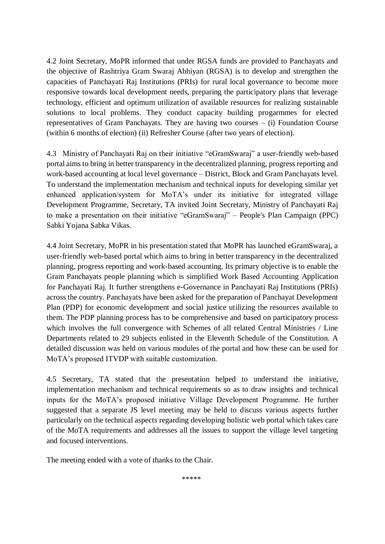4.2 Joint Secretary, MoPR informed that under RGSA funds are provided to Panchayats and the objective of Rashtriya Gram Swaraj Abhiyan (RGSA) is to develop and strengthen the capacities of Panchayati Raj Institutions (PRIs) for rural local governance to become more responsive towards local development needs, preparing the participatory plans that leverage technology, efficient and optimum utilization of available resources for realizing sustainable solutions to local problems. They conduct capacity building progarmmes for elected representatives of Gram Panchayats. They are having two courses – (i) Foundation Course (within 6 months of election) (ii) Refresher Course (after two years of election).

4.3 Ministry of Panchayati Raj on their initiative "eGramSwaraj" a user-friendly web-based portal aims to bring in better transparency in the decentralized planning, progress reporting and work-based accounting at local level governance – District, Block and Gram Panchayats level. To understand the implementation mechanism and technical inputs for developing similar yet enhanced application/system for MoTA's under its initiative for integrated village Development Programme, Secretary, TA invited Joint Secretary, Ministry of Panchayati Raj to make a presentation on their initiative "eGramSwaraj" – People's Plan Campaign (PPC) Sabki Yojana Sabka Vikas.

4.4 Joint Secretary, MoPR in his presentation stated that MoPR has launched eGramSwaraj, a user-friendly web-based portal which aims to bring in better transparency in the decentralized planning, progress reporting and work-based accounting. Its primary objective is to enable the Gram Panchayats people planning which is simplified Work Based Accounting Application for Panchayati Raj. It further strengthens e-Governance in Panchayati Raj Institutions (PRIs) across the country. Panchayats have been asked for the preparation of Panchayat Development Plan (PDP) for economic development and social justice utilizing the resources available to them. The PDP planning process has to be comprehensive and based on participatory process which involves the full convergence with Schemes of all related Central Ministries / Line Departments related to 29 subjects enlisted in the Eleventh Schedule of the Constitution. A detailed discussion was held on various modules of the portal and how these can be used for MoTA's proposed ITVDP with suitable customization.

4.5 Secretary, TA stated that the presentation helped to understand the initiative, implementation mechanism and technical requirements so as to draw insights and technical inputs for the MoTA's proposed initiative Village Development Programme. He further suggested that a separate JS level meeting may be held to discuss various aspects further particularly on the technical aspects regarding developing holistic web portal which takes care of the MoTA requirements and addresses all the issues to support the village level targeting and focused interventions.

The meeting ended with a vote of thanks to the Chair.